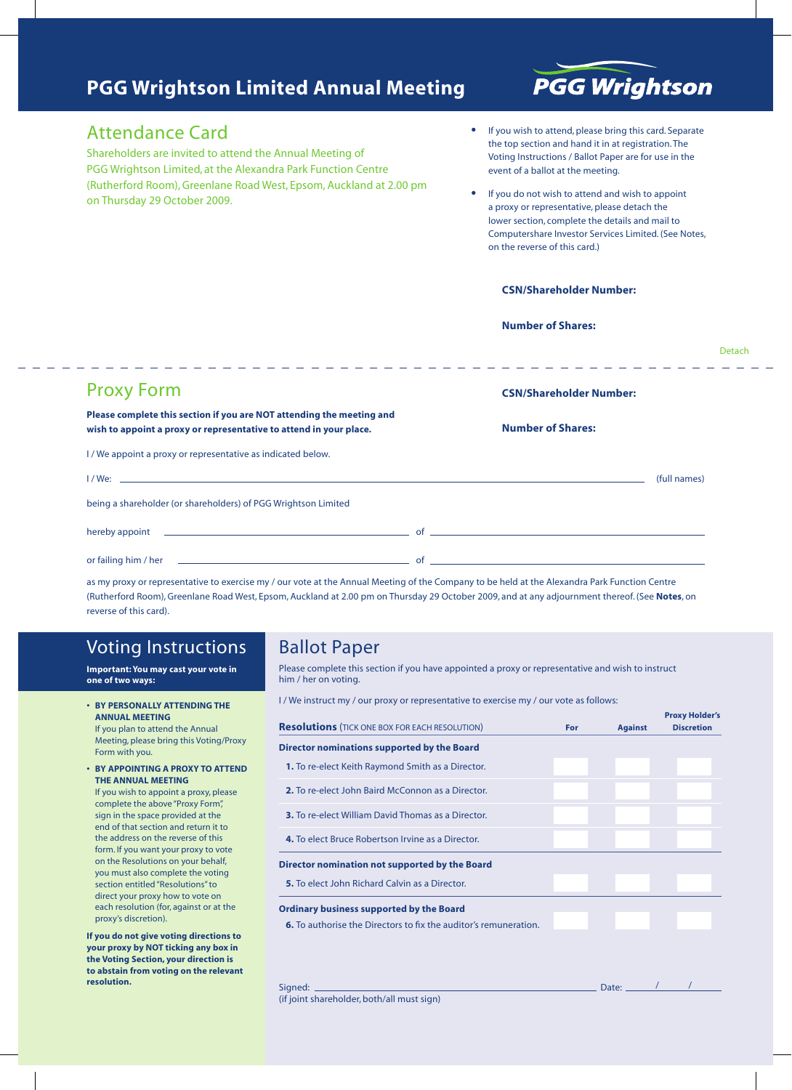## **PGG Wrightson Limited Annual Meeting**

# **PGG Wrightson**

### Attendance Card

Shareholders are invited to attend the Annual Meeting of PGG Wrightson Limited, at the Alexandra Park Function Centre (Rutherford Room), Greenlane Road West, Epsom, Auckland at 2.00 pm on Thursday 29 October 2009.

- If you wish to attend, please bring this card. Separate the top section and hand it in at registration. The Voting Instructions / Ballot Paper are for use in the event of a ballot at the meeting.
- If you do not wish to attend and wish to appoint a proxy or representative, please detach the lower section, complete the details and mail to Computershare Investor Services Limited. (See Notes, on the reverse of this card.)

#### **CSN/Shareholder Number:**

#### **Number of Shares:**

|                                                                                                                                                                                                                                      | Detach                         |
|--------------------------------------------------------------------------------------------------------------------------------------------------------------------------------------------------------------------------------------|--------------------------------|
| <b>Proxy Form</b>                                                                                                                                                                                                                    | <b>CSN/Shareholder Number:</b> |
| Please complete this section if you are NOT attending the meeting and<br>wish to appoint a proxy or representative to attend in your place.                                                                                          | <b>Number of Shares:</b>       |
| I / We appoint a proxy or representative as indicated below.                                                                                                                                                                         |                                |
|                                                                                                                                                                                                                                      | (full names)                   |
| being a shareholder (or shareholders) of PGG Wrightson Limited                                                                                                                                                                       |                                |
| hereby appoint <u>example and the contract of the contract of the contract of the contract of the contract of the contract of the contract of the contract of the contract of the contract of the contract of the contract of th</u> |                                |
|                                                                                                                                                                                                                                      |                                |

as my proxy or representative to exercise my / our vote at the Annual Meeting of the Company to be held at the Alexandra Park Function Centre (Rutherford Room), Greenlane Road West, Epsom, Auckland at 2.00 pm on Thursday 29 October 2009, and at any adjournment thereof. (See **Notes**, on reverse of this card).

## Voting Instructions

**Important: You may cast your vote in one of two ways:**

- **• BY PERSONALLY ATTENDING THE ANNUAL MEETING** If you plan to attend the Annual Meeting, please bring this Voting/Proxy Form with you.
- **• BY APPOINTING A PROXY TO ATTEND THE ANNUAL MEETING** If you wish to appoint a proxy, please complete the above "Proxy Form", sign in the space provided at the end of that section and return it to the address on the reverse of this form. If you want your proxy to vote on the Resolutions on your behalf, you must also complete the voting section entitled "Resolutions" to direct your proxy how to vote on each resolution (for, against or at the proxy's discretion).

**If you do not give voting directions to your proxy by NOT ticking any box in the Voting Section, your direction is to abstain from voting on the relevant resolution.**

## Ballot Paper

Please complete this section if you have appointed a proxy or representative and wish to instruct him / her on voting.

I / We instruct my / our proxy or representative to exercise my / our vote as follows:

|                                                                         |     |                | <b>Proxy Holder's</b> |
|-------------------------------------------------------------------------|-----|----------------|-----------------------|
| <b>Resolutions</b> (TICK ONE BOX FOR EACH RESOLUTION)                   | For | <b>Against</b> | <b>Discretion</b>     |
| Director nominations supported by the Board                             |     |                |                       |
| <b>1.</b> To re-elect Keith Raymond Smith as a Director.                |     |                |                       |
| 2. To re-elect John Baird McConnon as a Director.                       |     |                |                       |
| <b>3.</b> To re-elect William David Thomas as a Director.               |     |                |                       |
| 4. To elect Bruce Robertson Irvine as a Director.                       |     |                |                       |
| Director nomination not supported by the Board                          |     |                |                       |
| 5. To elect John Richard Calvin as a Director.                          |     |                |                       |
| <b>Ordinary business supported by the Board</b>                         |     |                |                       |
| <b>6.</b> To authorise the Directors to fix the auditor's remuneration. |     |                |                       |

(if joint shareholder, both/all must sign)

Signed: Date: / /